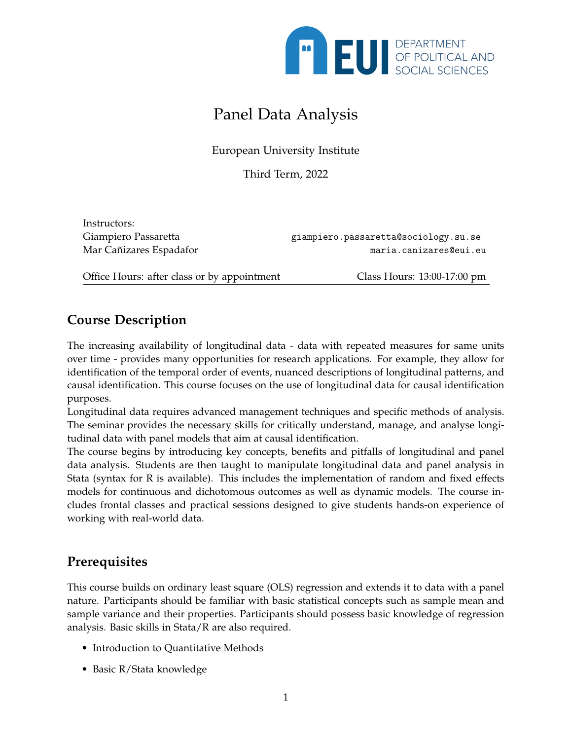

# Panel Data Analysis

European University Institute

Third Term, 2022

Instructors:

Giampiero Passaretta enterta enterta giampiero.passaretta@sociology.su.se Mar Cañizares Espadafor maria.canizares@eui.eu

Office Hours: after class or by appointment Class Hours: 13:00-17:00 pm

## **Course Description**

The increasing availability of longitudinal data - data with repeated measures for same units over time - provides many opportunities for research applications. For example, they allow for identification of the temporal order of events, nuanced descriptions of longitudinal patterns, and causal identification. This course focuses on the use of longitudinal data for causal identification purposes.

Longitudinal data requires advanced management techniques and specific methods of analysis. The seminar provides the necessary skills for critically understand, manage, and analyse longitudinal data with panel models that aim at causal identification.

The course begins by introducing key concepts, benefits and pitfalls of longitudinal and panel data analysis. Students are then taught to manipulate longitudinal data and panel analysis in Stata (syntax for R is available). This includes the implementation of random and fixed effects models for continuous and dichotomous outcomes as well as dynamic models. The course includes frontal classes and practical sessions designed to give students hands-on experience of working with real-world data.

## **Prerequisites**

This course builds on ordinary least square (OLS) regression and extends it to data with a panel nature. Participants should be familiar with basic statistical concepts such as sample mean and sample variance and their properties. Participants should possess basic knowledge of regression analysis. Basic skills in Stata/R are also required.

- Introduction to Quantitative Methods
- Basic R/Stata knowledge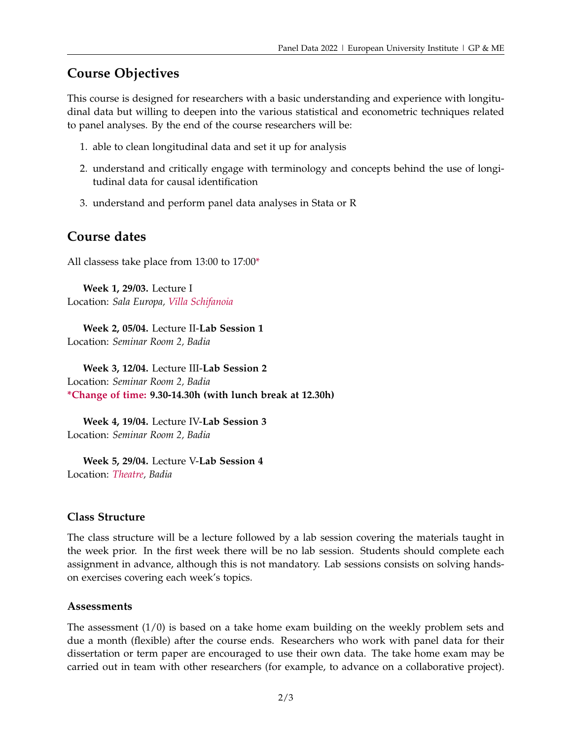### **Course Objectives**

This course is designed for researchers with a basic understanding and experience with longitudinal data but willing to deepen into the various statistical and econometric techniques related to panel analyses. By the end of the course researchers will be:

- 1. able to clean longitudinal data and set it up for analysis
- 2. understand and critically engage with terminology and concepts behind the use of longitudinal data for causal identification
- 3. understand and perform panel data analyses in Stata or R

#### **Course dates**

All classess take place from 13:00 to 17:00\*

**Week 1, 29/03.** Lecture I Location: *Sala Europa, Villa Schifanoia*

**Week 2, 05/04.** Lecture II-**Lab Session 1** Location: *Seminar Room 2, Badia*

**Week 3, 12/04.** Lecture III-**Lab Session 2** Location: *Seminar Room 2, Badia* **\*Change of time: 9.30-14.30h (with lunch break at 12.30h)**

**Week 4, 19/04.** Lecture IV-**Lab Session 3** Location: *Seminar Room 2, Badia*

**Week 5, 29/04.** Lecture V-**Lab Session 4** Location: *Theatre, Badia*

#### **Class Structure**

The class structure will be a lecture followed by a lab session covering the materials taught in the week prior. In the first week there will be no lab session. Students should complete each assignment in advance, although this is not mandatory. Lab sessions consists on solving handson exercises covering each week's topics.

#### **Assessments**

The assessment  $(1/0)$  is based on a take home exam building on the weekly problem sets and due a month (flexible) after the course ends. Researchers who work with panel data for their dissertation or term paper are encouraged to use their own data. The take home exam may be carried out in team with other researchers (for example, to advance on a collaborative project).